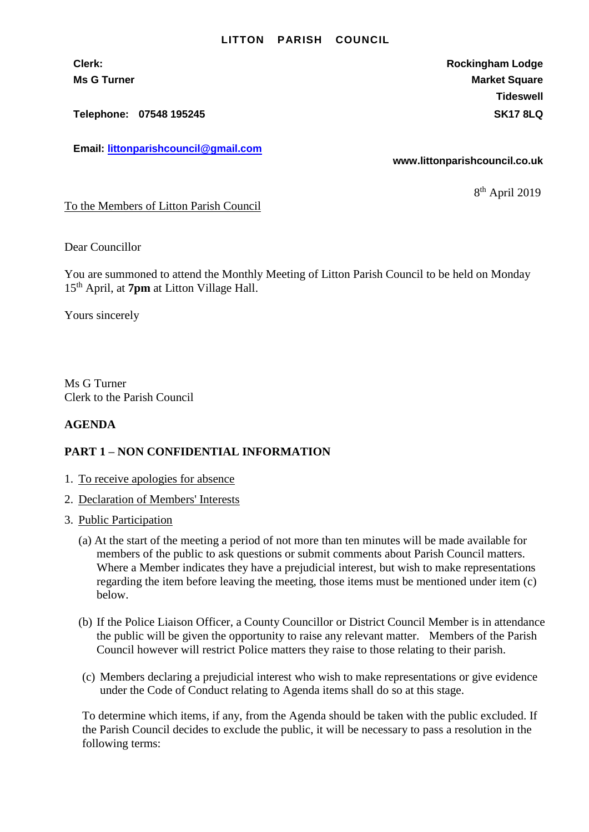## **LITTON PARISH COUNCIL**

**Telephone: 07548 195245 SK17 8LQ**

**Email: [littonparishcouncil@gmail.com](mailto:littonparishcouncil@gmail.com)**

**Clerk: Rockingham Lodge Ms G Turner Market Square** Market Square Market Square **Tideswell**

**www.littonparishcouncil.co.uk**

8 th April 2019

To the Members of Litton Parish Council

Dear Councillor

You are summoned to attend the Monthly Meeting of Litton Parish Council to be held on Monday 15 th April, at **7pm** at Litton Village Hall.

Yours sincerely

Ms G Turner Clerk to the Parish Council

## **AGENDA**

## **PART 1 – NON CONFIDENTIAL INFORMATION**

- 1. To receive apologies for absence
- 2. Declaration of Members' Interests
- 3. Public Participation
	- (a) At the start of the meeting a period of not more than ten minutes will be made available for members of the public to ask questions or submit comments about Parish Council matters. Where a Member indicates they have a prejudicial interest, but wish to make representations regarding the item before leaving the meeting, those items must be mentioned under item (c) below.
	- (b) If the Police Liaison Officer, a County Councillor or District Council Member is in attendance the public will be given the opportunity to raise any relevant matter. Members of the Parish Council however will restrict Police matters they raise to those relating to their parish.
	- (c) Members declaring a prejudicial interest who wish to make representations or give evidence under the Code of Conduct relating to Agenda items shall do so at this stage.

To determine which items, if any, from the Agenda should be taken with the public excluded. If the Parish Council decides to exclude the public, it will be necessary to pass a resolution in the following terms: